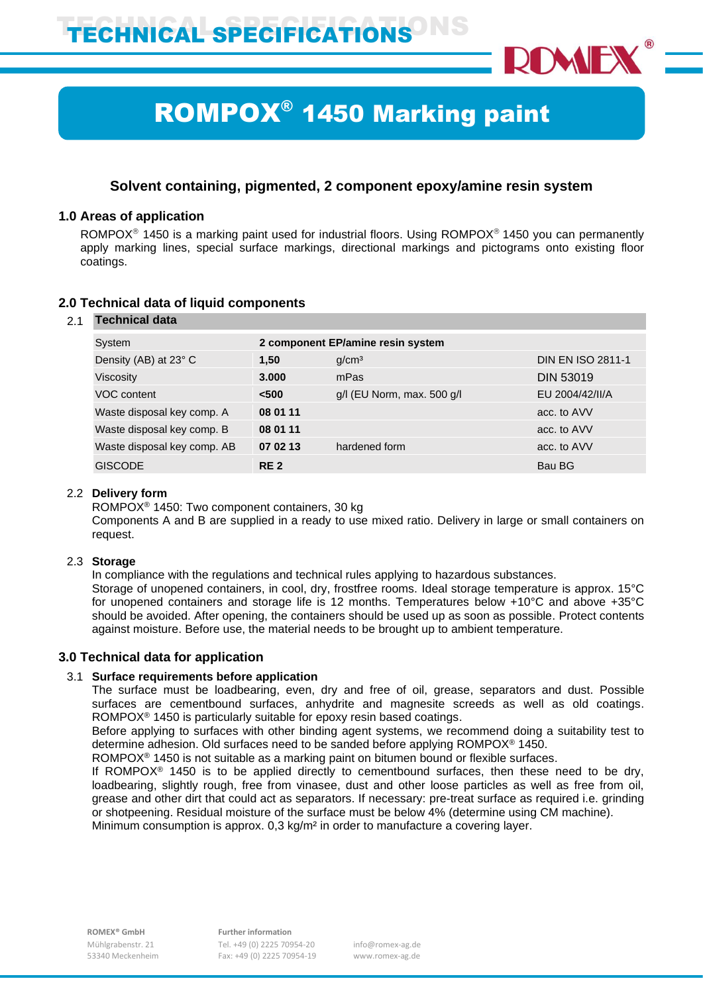

# ROMPOX® 1450 Marking paint

# **Solvent containing, pigmented, 2 component epoxy/amine resin system**

# **1.0 Areas of application**

ROMPOX<sup>®</sup> 1450 is a marking paint used for industrial floors. Using ROMPOX<sup>®</sup> 1450 you can permanently apply marking lines, special surface markings, directional markings and pictograms onto existing floor coatings.

# **2.0 Technical data of liquid components**

# 2.1 **Technical data**

| System                      | 2 component EP/amine resin system |                            |                          |
|-----------------------------|-----------------------------------|----------------------------|--------------------------|
| Density (AB) at 23° C       | 1.50                              | q/cm <sup>3</sup>          | <b>DIN EN ISO 2811-1</b> |
| Viscosity                   | 3.000                             | mPas                       | <b>DIN 53019</b>         |
| VOC content                 | < 500                             | g/l (EU Norm, max. 500 g/l | EU 2004/42/II/A          |
| Waste disposal key comp. A  | 08 01 11                          |                            | acc. to AVV              |
| Waste disposal key comp. B  | 08 01 11                          |                            | acc. to AVV              |
| Waste disposal key comp. AB | 07 02 13                          | hardened form              | acc. to AVV              |
| <b>GISCODE</b>              | RE <sub>2</sub>                   |                            | Bau BG                   |

## 2.2 **Delivery form**

ROMPOX® 1450: Two component containers, 30 kg

Components A and B are supplied in a ready to use mixed ratio. Delivery in large or small containers on request.

# 2.3 **Storage**

In compliance with the regulations and technical rules applying to hazardous substances.

Storage of unopened containers, in cool, dry, frostfree rooms. Ideal storage temperature is approx. 15°C for unopened containers and storage life is 12 months. Temperatures below +10°C and above +35°C should be avoided. After opening, the containers should be used up as soon as possible. Protect contents against moisture. Before use, the material needs to be brought up to ambient temperature.

# **3.0 Technical data for application**

# 3.1 **Surface requirements before application**

The surface must be loadbearing, even, dry and free of oil, grease, separators and dust. Possible surfaces are cementbound surfaces, anhydrite and magnesite screeds as well as old coatings. ROMPOX® 1450 is particularly suitable for epoxy resin based coatings.

Before applying to surfaces with other binding agent systems, we recommend doing a suitability test to determine adhesion. Old surfaces need to be sanded before applying ROMPOX® 1450.

ROMPOX® 1450 is not suitable as a marking paint on bitumen bound or flexible surfaces.

If ROMPO $X^{\otimes}$  1450 is to be applied directly to cementbound surfaces, then these need to be dry, loadbearing, slightly rough, free from vinasee, dust and other loose particles as well as free from oil, grease and other dirt that could act as separators. If necessary: pre-treat surface as required i.e. grinding or shotpeening. Residual moisture of the surface must be below 4% (determine using CM machine). Minimum consumption is approx. 0,3 kg/m² in order to manufacture a covering layer.

 Mühlgrabenstr. 21 Tel. +49 (0) 2225 70954-20 info@romex-ag.de 53340 Meckenheim Fax: +49 (0) 2225 70954-19 www.romex-ag.de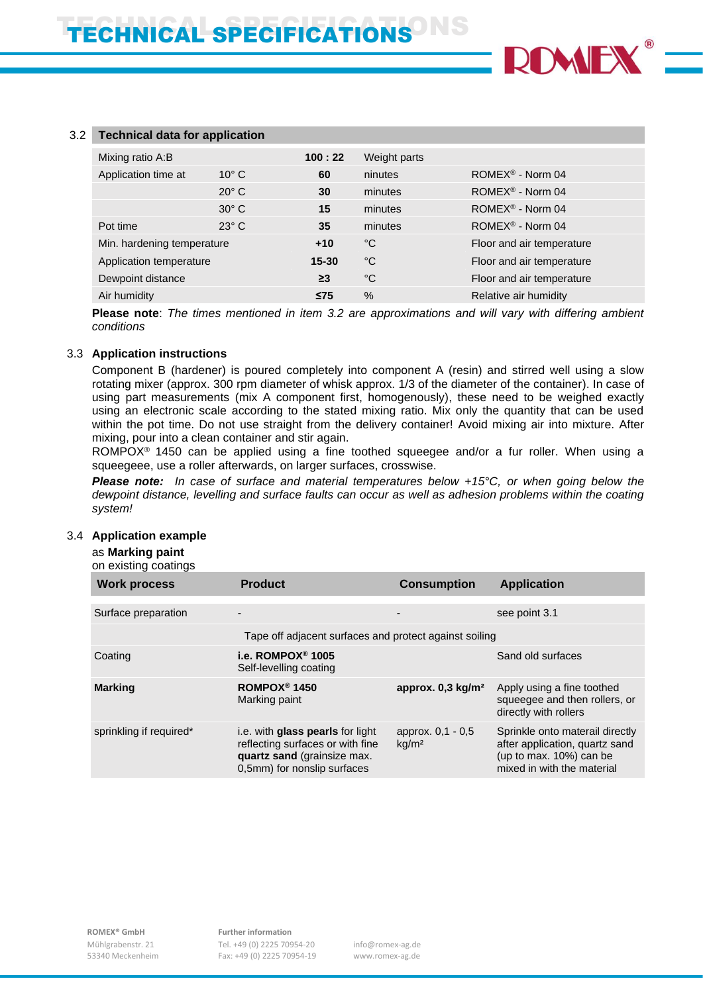

| 3.2 | <b>Technical data for application</b> |                |           |              |                               |
|-----|---------------------------------------|----------------|-----------|--------------|-------------------------------|
|     | Mixing ratio A:B                      |                | 100:22    | Weight parts |                               |
|     | Application time at                   | $10^{\circ}$ C | 60        | ninutes      | ROMEX <sup>®</sup> - Norm 04  |
|     |                                       | $20^\circ$ C   | 30        | minutes      | $ROMEX^{\circledR}$ - Norm 04 |
|     |                                       | $30^\circ$ C   | 15        | minutes      | ROMEX <sup>®</sup> - Norm 04  |
|     | Pot time                              | $23^\circ$ C   | 35        | minutes      | ROMEX <sup>®</sup> - Norm 04  |
|     | Min. hardening temperature            |                | $+10$     | °C           | Floor and air temperature     |
|     | Application temperature               |                | $15 - 30$ | °C           | Floor and air temperature     |
|     | Dewpoint distance                     |                | $\geq$ 3  | °C           | Floor and air temperature     |
|     | Air humidity                          |                | $\leq 75$ | $\%$         | Relative air humidity         |
|     |                                       |                |           |              |                               |

**Please note**: *The times mentioned in item 3.2 are approximations and will vary with differing ambient conditions*

#### 3.3 **Application instructions**

Component B (hardener) is poured completely into component A (resin) and stirred well using a slow rotating mixer (approx. 300 rpm diameter of whisk approx. 1/3 of the diameter of the container). In case of using part measurements (mix A component first, homogenously), these need to be weighed exactly using an electronic scale according to the stated mixing ratio. Mix only the quantity that can be used within the pot time. Do not use straight from the delivery container! Avoid mixing air into mixture. After mixing, pour into a clean container and stir again.

ROMPOX<sup>®</sup> 1450 can be applied using a fine toothed squeegee and/or a fur roller. When using a squeegeee, use a roller afterwards, on larger surfaces, crosswise.

*Please note: In case of surface and material temperatures below +15°C, or when going below the dewpoint distance, levelling and surface faults can occur as well as adhesion problems within the coating system!*

#### 3.4 **Application example**

# as **Marking paint**

on existing coatings

| <b>Work process</b>     | <b>Product</b>                                                                                                                     | <b>Consumption</b>                     | <b>Application</b>                                                                                                         |
|-------------------------|------------------------------------------------------------------------------------------------------------------------------------|----------------------------------------|----------------------------------------------------------------------------------------------------------------------------|
|                         |                                                                                                                                    |                                        |                                                                                                                            |
| Surface preparation     |                                                                                                                                    |                                        | see point 3.1                                                                                                              |
|                         | Tape off adjacent surfaces and protect against soiling                                                                             |                                        |                                                                                                                            |
| Coating                 | i.e. ROMPOX <sup>®</sup> 1005<br>Self-levelling coating                                                                            |                                        | Sand old surfaces                                                                                                          |
| <b>Marking</b>          | ROMPOX <sup>®</sup> 1450<br>Marking paint                                                                                          | approx. $0.3 \text{ kg/m}^2$           | Apply using a fine toothed<br>squeeqee and then rollers, or<br>directly with rollers                                       |
| sprinkling if required* | i.e. with glass pearls for light<br>reflecting surfaces or with fine<br>quartz sand (grainsize max.<br>0,5mm) for nonslip surfaces | approx. 0,1 - 0,5<br>kg/m <sup>2</sup> | Sprinkle onto materail directly<br>after application, quartz sand<br>(up to max. 10%) can be<br>mixed in with the material |

 **ROMEX® GmbH Further information** Mühlgrabenstr. 21 Tel. +49 (0) 2225 70954-20 info@romex-ag.de 53340 Meckenheim Fax: +49 (0) 2225 70954-19 www.romex-ag.de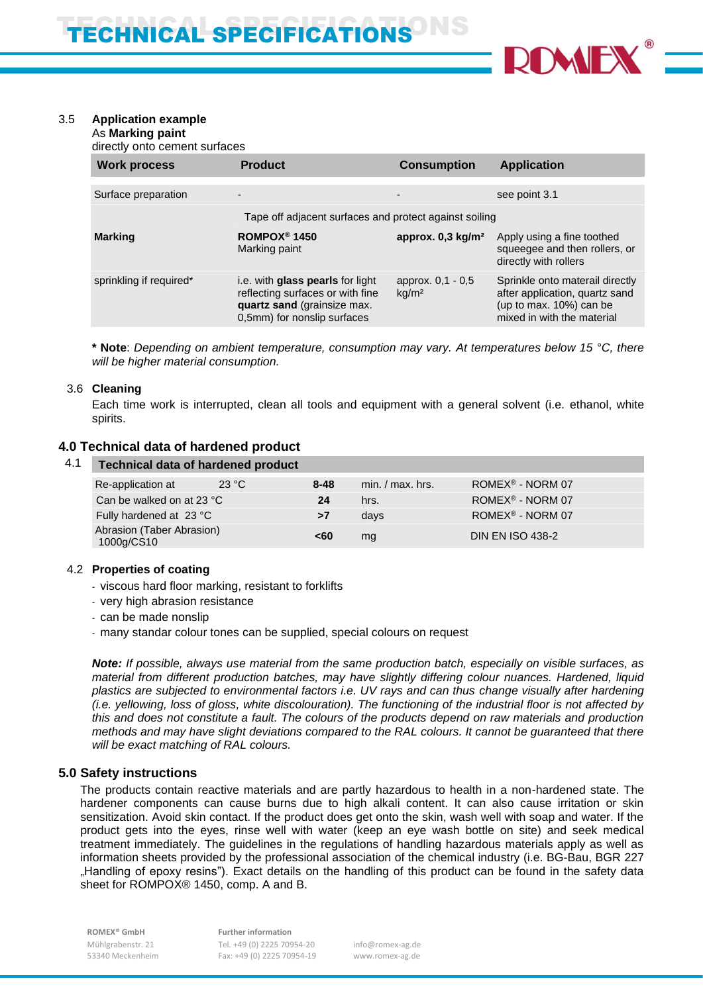

# 3.5 **Application example**

As **Marking paint** directly onto cement surfaces

| <b>Work process</b>     | <b>Product</b>                                                                                                                     | <b>Consumption</b>                     | <b>Application</b>                                                                                                         |
|-------------------------|------------------------------------------------------------------------------------------------------------------------------------|----------------------------------------|----------------------------------------------------------------------------------------------------------------------------|
|                         |                                                                                                                                    |                                        |                                                                                                                            |
| Surface preparation     |                                                                                                                                    |                                        | see point 3.1                                                                                                              |
|                         | Tape off adjacent surfaces and protect against soiling                                                                             |                                        |                                                                                                                            |
| <b>Marking</b>          | ROMPOX <sup>®</sup> 1450<br>Marking paint                                                                                          | approx. 0,3 kg/m <sup>2</sup>          | Apply using a fine toothed<br>squeeqee and then rollers, or<br>directly with rollers                                       |
| sprinkling if required* | i.e. with glass pearls for light<br>reflecting surfaces or with fine<br>quartz sand (grainsize max.<br>0,5mm) for nonslip surfaces | approx. 0,1 - 0,5<br>kq/m <sup>2</sup> | Sprinkle onto materail directly<br>after application, quartz sand<br>(up to max. 10%) can be<br>mixed in with the material |

**\* Note**: *Depending on ambient temperature, consumption may vary. At temperatures below 15 °C, there will be higher material consumption.*

#### 3.6 **Cleaning**

Each time work is interrupted, clean all tools and equipment with a general solvent (i.e. ethanol, white spirits.

### **4.0 Technical data of hardened product**

| 4.1 | <b>Technical data of hardened product</b> |       |          |                    |                              |
|-----|-------------------------------------------|-------|----------|--------------------|------------------------------|
|     | Re-application at                         | 23 °C | $8 - 48$ | $min. / max.$ hrs. | ROMEX <sup>®</sup> - NORM 07 |
|     | Can be walked on at 23 °C                 |       | 24       | hrs.               | ROMEX <sup>®</sup> - NORM 07 |
|     | Fully hardened at 23 °C                   |       | >7       | days               | ROMEX <sup>®</sup> - NORM 07 |
|     | Abrasion (Taber Abrasion)<br>1000g/CS10   |       | <60      | ma                 | <b>DIN EN ISO 438-2</b>      |

#### 4.2 **Properties of coating**

- viscous hard floor marking, resistant to forklifts
- very high abrasion resistance
- can be made nonslip
- many standar colour tones can be supplied, special colours on request

*Note: If possible, always use material from the same production batch, especially on visible surfaces, as material from different production batches, may have slightly differing colour nuances. Hardened, liquid plastics are subjected to environmental factors i.e. UV rays and can thus change visually after hardening (i.e. yellowing, loss of gloss, white discolouration). The functioning of the industrial floor is not affected by this and does not constitute a fault. The colours of the products depend on raw materials and production methods and may have slight deviations compared to the RAL colours. It cannot be guaranteed that there will be exact matching of RAL colours.*

# **5.0 Safety instructions**

The products contain reactive materials and are partly hazardous to health in a non-hardened state. The hardener components can cause burns due to high alkali content. It can also cause irritation or skin sensitization. Avoid skin contact. If the product does get onto the skin, wash well with soap and water. If the product gets into the eyes, rinse well with water (keep an eye wash bottle on site) and seek medical treatment immediately. The guidelines in the regulations of handling hazardous materials apply as well as information sheets provided by the professional association of the chemical industry (i.e. BG-Bau, BGR 227 "Handling of epoxy resins"). Exact details on the handling of this product can be found in the safety data sheet for ROMPOX® 1450, comp. A and B.

 **ROMEX® GmbH Further information**

 Mühlgrabenstr. 21 Tel. +49 (0) 2225 70954-20 info@romex-ag.de 53340 Meckenheim Fax: +49 (0) 2225 70954-19 www.romex-ag.de